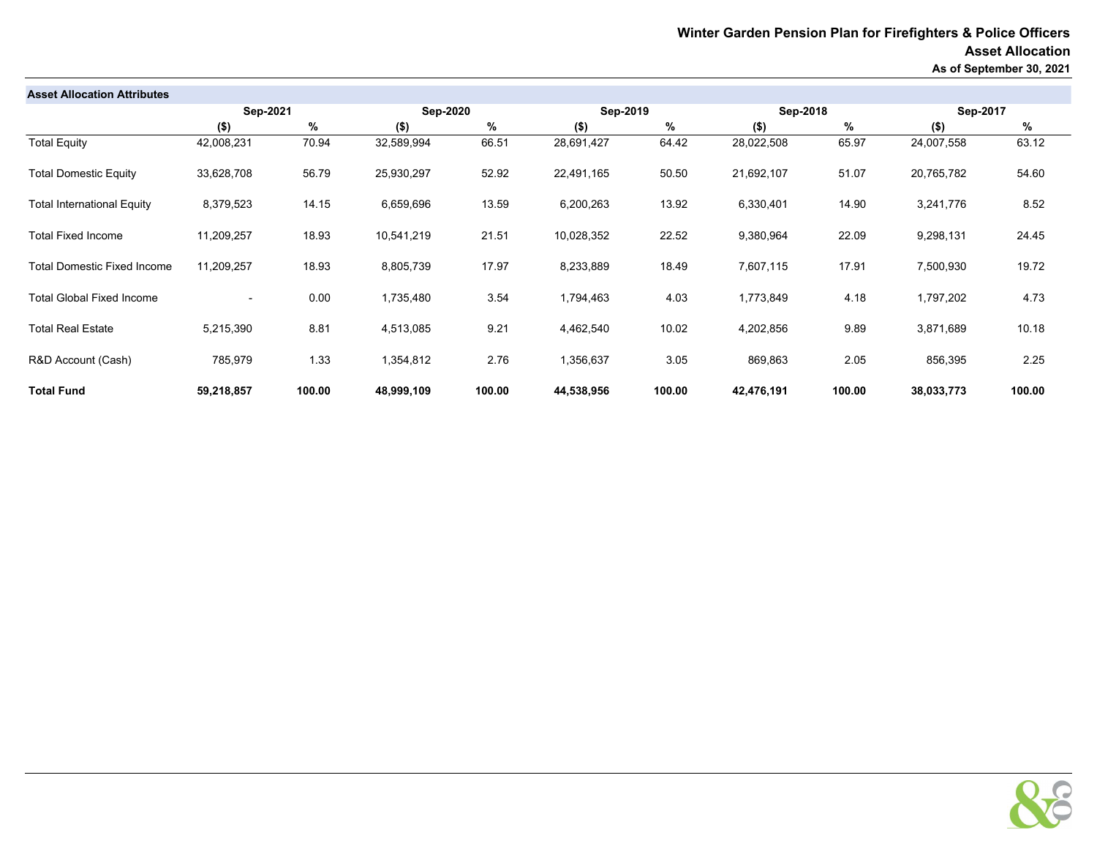## Winter Garden Pension Plan for Firefighters & Police Officers Asset Allocation As of September 30, 2021

| <b>Asset Allocation Attributes</b> |                |        |            |        |            |        |            |        |            |        |
|------------------------------------|----------------|--------|------------|--------|------------|--------|------------|--------|------------|--------|
|                                    | Sep-2021       |        | Sep-2020   |        | Sep-2019   |        | Sep-2018   |        | Sep-2017   |        |
|                                    | $($ \$)        | %      | $($ \$)    | %      | $($ \$)    | %      | $($ \$)    | %      | $($ \$)    | %      |
| <b>Total Equity</b>                | 42,008,231     | 70.94  | 32,589,994 | 66.51  | 28,691,427 | 64.42  | 28,022,508 | 65.97  | 24,007,558 | 63.12  |
| <b>Total Domestic Equity</b>       | 33,628,708     | 56.79  | 25,930,297 | 52.92  | 22,491,165 | 50.50  | 21,692,107 | 51.07  | 20,765,782 | 54.60  |
| <b>Total International Equity</b>  | 8,379,523      | 14.15  | 6,659,696  | 13.59  | 6,200,263  | 13.92  | 6,330,401  | 14.90  | 3,241,776  | 8.52   |
| <b>Total Fixed Income</b>          | 11,209,257     | 18.93  | 10,541,219 | 21.51  | 10,028,352 | 22.52  | 9,380,964  | 22.09  | 9,298,131  | 24.45  |
| <b>Total Domestic Fixed Income</b> | 11,209,257     | 18.93  | 8,805,739  | 17.97  | 8,233,889  | 18.49  | 7,607,115  | 17.91  | 7,500,930  | 19.72  |
| <b>Total Global Fixed Income</b>   | $\blacksquare$ | 0.00   | 1,735,480  | 3.54   | 1,794,463  | 4.03   | 1,773,849  | 4.18   | 1,797,202  | 4.73   |
| <b>Total Real Estate</b>           | 5,215,390      | 8.81   | 4,513,085  | 9.21   | 4,462,540  | 10.02  | 4,202,856  | 9.89   | 3,871,689  | 10.18  |
| R&D Account (Cash)                 | 785,979        | 1.33   | 1,354,812  | 2.76   | 1,356,637  | 3.05   | 869,863    | 2.05   | 856,395    | 2.25   |
| <b>Total Fund</b>                  | 59,218,857     | 100.00 | 48,999,109 | 100.00 | 44,538,956 | 100.00 | 42,476,191 | 100.00 | 38,033,773 | 100.00 |